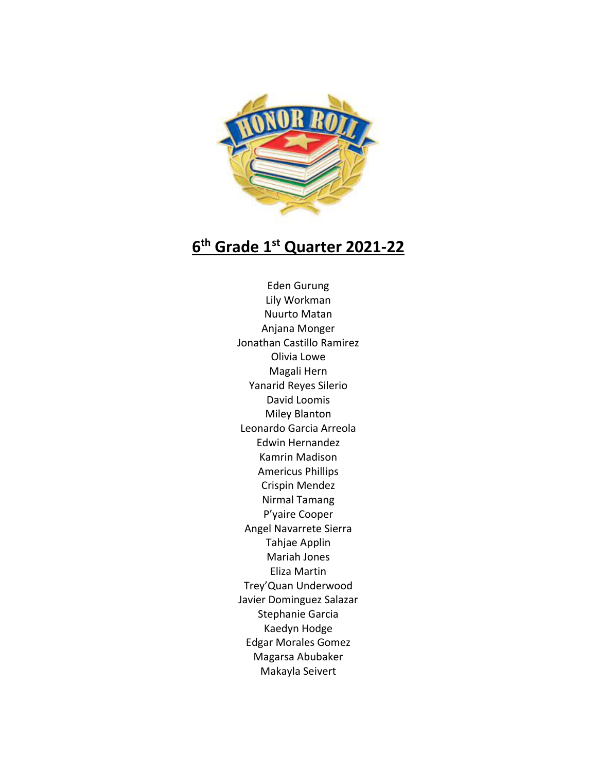

## **6th Grade 1st Quarter 2021-22**

Eden Gurung Lily Workman Nuurto Matan Anjana Monger Jonathan Castillo Ramirez Olivia Lowe Magali Hern Yanarid Reyes Silerio David Loomis Miley Blanton Leonardo Garcia Arreola Edwin Hernandez Kamrin Madison Americus Phillips Crispin Mendez Nirmal Tamang P'yaire Cooper Angel Navarrete Sierra Tahjae Applin Mariah Jones Eliza Martin Trey'Quan Underwood Javier Dominguez Salazar Stephanie Garcia Kaedyn Hodge Edgar Morales Gomez Magarsa Abubaker Makayla Seivert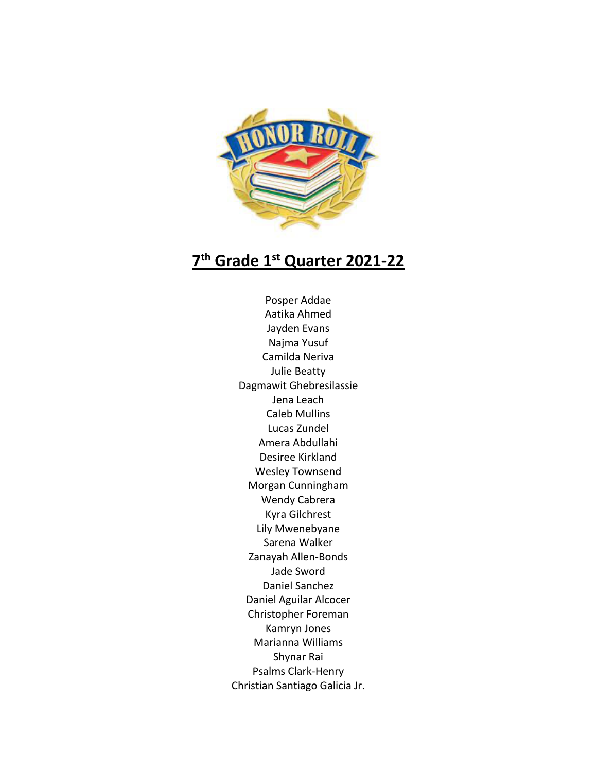

## **7th Grade 1st Quarter 2021-22**

Posper Addae Aatika Ahmed Jayden Evans Najma Yusuf Camilda Neriva Julie Beatty Dagmawit Ghebresilassie Jena Leach Caleb Mullins Lucas Zundel Amera Abdullahi Desiree Kirkland Wesley Townsend Morgan Cunningham Wendy Cabrera Kyra Gilchrest Lily Mwenebyane Sarena Walker Zanayah Allen-Bonds Jade Sword Daniel Sanchez Daniel Aguilar Alcocer Christopher Foreman Kamryn Jones Marianna Williams Shynar Rai Psalms Clark-Henry Christian Santiago Galicia Jr.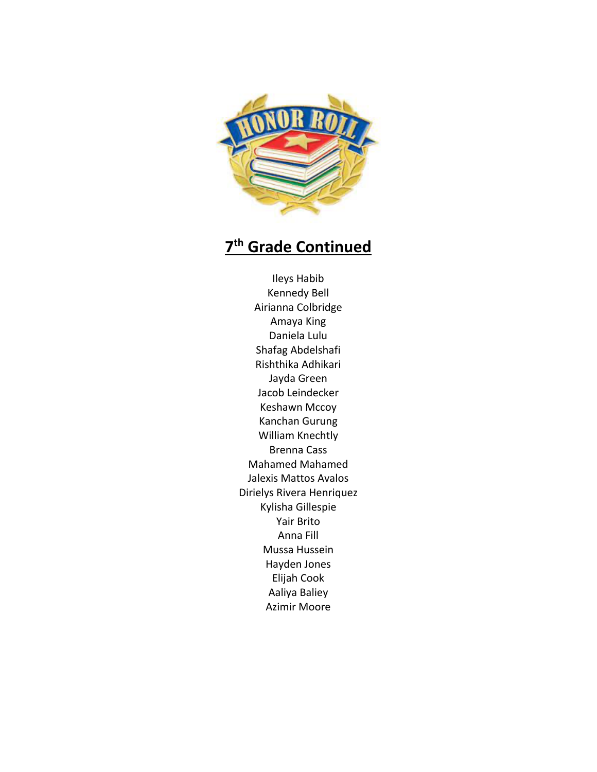

## **7th Grade Continued**

Ileys Habib Kennedy Bell Airianna Colbridge Amaya King Daniela Lulu Shafag Abdelshafi Rishthika Adhikari Jayda Green Jacob Leindecker Keshawn Mccoy Kanchan Gurung William Knechtly Brenna Cass Mahamed Mahamed Jalexis Mattos Avalos Dirielys Rivera Henriquez Kylisha Gillespie Yair Brito Anna Fill Mussa Hussein Hayden Jones Elijah Cook Aaliya Baliey Azimir Moore